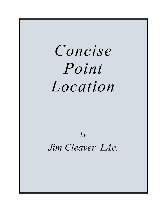# *Concise Point Location*

# *by*

*Jim Cleaver LAc.*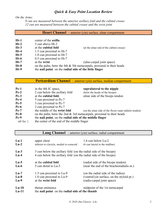*On the Arms:*

*9 cun are measured between the anterior axillary fold and the cubital crease 12 cun are measured between the cubital crease and the wrist joint* 

#### **Heart Channel** – anterior (yin) surface, ulnar compartment

| $Ht-1$ | center of the axilla                                                    |                                          |
|--------|-------------------------------------------------------------------------|------------------------------------------|
| $Ht-2$ | 3 cun above Ht-3                                                        |                                          |
| $Ht-3$ | at the cubital fold                                                     | (at the ulnar end of the cubital crease) |
| $Ht-4$ | 1.5 cun proximal to Ht-7                                                |                                          |
| $Ht-5$ | 1.0 cun proximal to Ht-7                                                |                                          |
| $Ht-6$ | 0.5 cun proximal to Ht-7                                                |                                          |
| $Ht-7$ | at the wrist                                                            | (ulno-carpal joint space)                |
| $Ht-8$ | on the palm, betw the 4th $\&$ 5th metacarpals, proximal to their heads |                                          |
| $Ht-9$ | the nail point on the radial side of the little finger                  |                                          |

|         | <b>Pericardium Channel</b> – anterior (yin) surface, median compartment |                                                         |  |
|---------|-------------------------------------------------------------------------|---------------------------------------------------------|--|
|         |                                                                         |                                                         |  |
| $Pc-1$  | in the 4th IC space,                                                    | supralateral to the nipple                              |  |
| $Pc-2$  | 2 cun below the axillary fold                                           | (betw the heads of the biceps)                          |  |
| $Pc-3$  | at the cubital fold,                                                    | ulnar side of the biceps tendon                         |  |
| $Pc-4$  | 5 cun proximal to Pc-7                                                  |                                                         |  |
| $Pc-5$  | 3 cun proximal to Pc-7                                                  |                                                         |  |
| $Pc-6$  | 2 cun proximal to Pc-7                                                  |                                                         |  |
| $Pc-7$  | the middle of the wrist fold                                            | (on the ulnar side of the flexor carpi radialis tendon) |  |
| $Pc-8$  | on the palm, betw the 2nd $\&$ 3rd metacarpals, proximal to their heads |                                                         |  |
| $Pc-9$  | the nail point, on the radial side of the middle finger                 |                                                         |  |
| alt loc | the center of the end of the middle finger                              |                                                         |  |

#### **Lung Channel** – anterior (yin) surface, radial compartment

| $Lu-1$             | upper chest                                                                                                                          | 1.6 cun below Lu-2                        |
|--------------------|--------------------------------------------------------------------------------------------------------------------------------------|-------------------------------------------|
| $Lu-2$             | inferior to clavicle, medial to coracoid                                                                                             | (6 cun lateral to the midline)            |
| $Lu-3$<br>$Lu-4$   | 3 cun below the axillary fold (on the radial side of the biceps)<br>4 cun below the axillary fold (on the radial side of the biceps) |                                           |
| $Lu-5$             | at the cubital fold                                                                                                                  | (radial side of the biceps tendon)        |
| $Lu-6$             | 5 cun distal to Lu-5                                                                                                                 | (near the end of the brachioradialis m.)  |
| $Lu-7$             | 1.5 cun proximal to Lu-9                                                                                                             | (on the radial side of the radius)        |
| $Lu-8$             | 1.0 cun proximal to Lu-9                                                                                                             | (ventral/yin surface, on the styloid pr.) |
| $Lu-9$             | at the wrist fold                                                                                                                    | (radio-carpal joint space)                |
| $Lu-10$<br>$Lu-11$ | thenar eminence<br>the nail point on the radial side of the thumb                                                                    | midpoint of the 1st metacarpal            |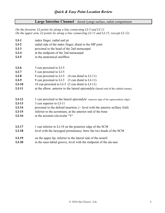#### **Large Intestine Channel** – dorsal (yang) surface, radial compartment

*On the forearm, LI points lie along a line connecting LI-5 and LI-11 On the upper arm, LI points lie along a line connecting LI-11 and LI-15, (except LI-12)*

| $LI-1$                                                     | index finger, radial nail pt                                                                                                                                                                                                                                                                                      |
|------------------------------------------------------------|-------------------------------------------------------------------------------------------------------------------------------------------------------------------------------------------------------------------------------------------------------------------------------------------------------------------|
| $LI-2$                                                     | radial side of the index finger, distal to the MP joint                                                                                                                                                                                                                                                           |
| $LI-3$                                                     | proximal to the head of the 2nd metacarpal                                                                                                                                                                                                                                                                        |
| $LI-4$                                                     | at the midpoint of the 2nd metacarpal                                                                                                                                                                                                                                                                             |
| $LI-5$                                                     | in the anatomical snuffbox                                                                                                                                                                                                                                                                                        |
| $LI-6$<br>$LI-7$<br>$LI-8$<br>$LI-9$<br>$LI-10$<br>$LI-11$ | 3 cun proximal to LI-5<br>5 cun proximal to LI-5<br>8 cun proximal to LI-5<br>$(4 \text{ cun distal to LI-11})$<br>9 cun proximal to LI-5<br>$(3$ cun distal to LI-11)<br>10 cun proximal to LI-5 (2 cun distal to LI-11)<br>at the elbow, anterior to the lateral epicondyle (lateral end of the cubital crease) |
| $LI-12$                                                    | 1 cun proximal to the lateral epicondyle (anterior edge of the supracondylar ridge)                                                                                                                                                                                                                               |
| $LI-13$                                                    | 3 cun superior to LI-11                                                                                                                                                                                                                                                                                           |
| $LI-14$                                                    | proximal to the deltoid insertion, $(\sim$ level with the anterior axillary fold)                                                                                                                                                                                                                                 |
| $LI-15$                                                    | inferior to the acromium, at the anterior end of the bone                                                                                                                                                                                                                                                         |
| $LI-16$                                                    | at the acromio-clavicular "V"                                                                                                                                                                                                                                                                                     |
| $LI-17$                                                    | 1 cun inferior to LI-18 on the posterior edge of the SCM                                                                                                                                                                                                                                                          |
| $LI-18$                                                    | level with the laryngeal prominence, betw the two heads of the SCM                                                                                                                                                                                                                                                |
| $LI-19$                                                    | on the upper lip, inferior to the lateral side of the nostril                                                                                                                                                                                                                                                     |
| $LI-20$                                                    | in the naso-labial groove, level with the midpoint of the ala nasi                                                                                                                                                                                                                                                |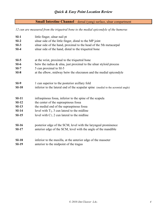### **Small Intestine Channel** – dorsal (yang) surface, ulnar compartment

*12 cun are measured from the triquetral bone to the medial epicondyle of the humerus*

| $SI-1$       | little finger, ulnar nail pt                                                     |
|--------------|----------------------------------------------------------------------------------|
| $SI-2$       | ulnar side of the little finger, distal to the MP joint                          |
| $SI-3$       | ulnar side of the hand, proximal to the head of the 5th metacarpal               |
| $SI-4$       | ulnar side of the hand, distal to the triquetral bone                            |
| $SI-5$       | at the wrist, proximal to the triquetral bone                                    |
| $SI-6$       | betw the radius & ulna, just proximal to the ulnar styloid process               |
| $SI-7$       | 5 cun proximal to SI-5                                                           |
| $SI-8$       | at the elbow, midway betw the olecranon and the medial epicondyle                |
| $SI-9$       | 1 cun superior to the posterior axillary fold                                    |
| $SI-10$      | inferior to the lateral end of the scapular spine (medial to the acromial angle) |
| $SI-11$      | infraspinous fossa, inferior to the spine of the scapula                         |
| $SI-12$      | the center of the supraspinous fossa                                             |
| $SI-13$      | the medial end of the supraspinous fossa                                         |
| $SI-14$      | level with $T_1$ , 3 cun lateral to the midline                                  |
| $SI-15$      | level with $C_7$ , 2 cun lateral to the midline                                  |
| $SI-16$      | posterior edge of the SCM, level with the laryngeal prominence                   |
| $SI-17$      | anterior edge of the SCM, level with the angle of the mandible                   |
| $SI-18$      | inferior to the maxilla, at the anterior edge of the masseter                    |
| <b>SI-19</b> | anterior to the midpoint of the tragus                                           |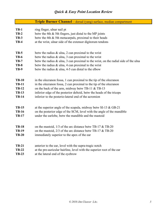| Triple Burner Channel - dorsal (yang) surface, median compartmen |
|------------------------------------------------------------------|
|------------------------------------------------------------------|

| $TB-1$                                                                       | ring finger, ulnar nail pt                                                                                                                                                                                                                                                                                                       |  |
|------------------------------------------------------------------------------|----------------------------------------------------------------------------------------------------------------------------------------------------------------------------------------------------------------------------------------------------------------------------------------------------------------------------------|--|
| $TB-2$                                                                       | betw the 4th $\&$ 5th fingers, just distal to the MP joints                                                                                                                                                                                                                                                                      |  |
| <b>TB-3</b>                                                                  | betw the 4th & 5th metacarpals, proximal to their heads                                                                                                                                                                                                                                                                          |  |
| <b>TB-4</b>                                                                  | at the wrist, ulnar side of the extensor digitorum tendons                                                                                                                                                                                                                                                                       |  |
|                                                                              |                                                                                                                                                                                                                                                                                                                                  |  |
| $TB-5$                                                                       | betw the radius $\&$ ulna, 2 cun proximal to the wrist                                                                                                                                                                                                                                                                           |  |
| <b>TB-6</b>                                                                  | betw the radius $\&$ ulna, 3 cun proximal to the wrist                                                                                                                                                                                                                                                                           |  |
| $TB-7$                                                                       | betw the radius $\&$ ulna, 3 cun proximal to the wrist, on the radial side of the ulna                                                                                                                                                                                                                                           |  |
| <b>TB-8</b>                                                                  | betw the radius $\&$ ulna, 4 cun proximal to the wrist                                                                                                                                                                                                                                                                           |  |
| <b>TB-9</b>                                                                  | betw the radius $\&$ ulna, 4-5 cun distal to the elbow                                                                                                                                                                                                                                                                           |  |
|                                                                              |                                                                                                                                                                                                                                                                                                                                  |  |
| <b>TB-10</b><br><b>TB-11</b><br><b>TB-12</b><br><b>TB-13</b><br><b>TB-14</b> | in the olecranon fossa, 1 cun proximal to the tip of the olecranon<br>in the olecranon fossa, 2 cun proximal to the tip of the olecranon<br>on the back of the arm, midway betw TB-11 $&$ TB-13<br>inferior edge of the posterior deltoid, betw the heads of the triceps<br>inferior to the posterio-lateral end of the acromion |  |
| <b>TB-15</b><br><b>TB-16</b><br><b>TB-17</b>                                 | at the superior angle of the scapula, midway betw SI-13 & GB-21<br>on the posterior edge of the SCM, level with the angle of the mandible<br>under the earlobe, betw the mandible and the mastoid                                                                                                                                |  |
| <b>TB-18</b><br><b>TB-19</b><br><b>TB-20</b>                                 | on the mastoid, $1/3$ of the arc distance betw TB-17 & TB-20<br>on the mastoid, $2/3$ of the arc distance betw TB-17 & TB-20<br>immediately superior to the apex of the ear                                                                                                                                                      |  |
| <b>TB-21</b><br><b>TB-22</b><br><b>TB-23</b>                                 | anterior to the ear, level with the supra-tragic notch<br>at the pre-auricular hairline, level with the superior root of the ear<br>at the lateral end of the eyebrow                                                                                                                                                            |  |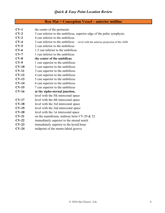| <b>Ren Mai = Conception Vessel – anterior midline</b> |  |  |  |
|-------------------------------------------------------|--|--|--|
|-------------------------------------------------------|--|--|--|

| $CV-1$  | the center of the perineum                                                            |
|---------|---------------------------------------------------------------------------------------|
| $CV-2$  | 5 cun inferior to the umbilicus, superior edge of the pubic symphysis                 |
| $CV-3$  | 4 cun inferior to the umbilicus                                                       |
| $CV-4$  | 3 cun inferior to the umbilicus $\sim$ level with the anterior projection of the ASIS |
| $CV-5$  | 2 cun inferior to the umbilicus                                                       |
| $CV-6$  | 1.5 cun inferior to the umbilicus                                                     |
| $CV-7$  | 1 cun inferior to the umbilicus                                                       |
| $CV-8$  | the center of the umbilicus                                                           |
| $CV-9$  | 1 cun superior to the umbilicus                                                       |
| $CV-10$ | 2 cun superior to the umbilicus                                                       |
| $CV-11$ | 3 cun superior to the umbilicus                                                       |
| $CV-12$ | 4 cun superior to the umbilicus                                                       |
| $CV-13$ | 5 cun superior to the umbilicus                                                       |
| $CV-14$ | 6 cun superior to the umbilicus                                                       |
| $CV-15$ | 7 cun superior to the umbilicus                                                       |
| $CV-16$ | at the xipho-sternal junction,                                                        |
|         | level with the 5th intercostal space                                                  |
| $CV-17$ | level with the 4th intercostal space                                                  |
| $CV-18$ | level with the 3rd intercostal space                                                  |
| $CV-19$ | level with the 2nd intercostal space                                                  |
| $CV-20$ | level with the 1st intercostal space                                                  |
| $CV-21$ | on the manubrium, midway betw $CV-20 & 22$                                            |
| $CV-22$ | immediately superior to the sternal notch                                             |
| $CV-23$ | immediately superior to the hyoid bone                                                |
| $CV-24$ | midpoint of the mento-labial groove                                                   |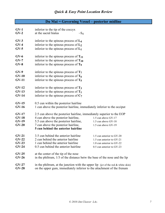# **Du Mai = Governing Vessel – posterior midline**

| $GV-1$<br>$GV-2$                         | inferior to the tip of the coccyx<br>at the sacral hiatus<br>$\sim S_4$                                                                                                                                                            |                                                                                                                  |
|------------------------------------------|------------------------------------------------------------------------------------------------------------------------------------------------------------------------------------------------------------------------------------|------------------------------------------------------------------------------------------------------------------|
| $GV-3$<br>$GV-4$<br>$GV-5$               | inferior to the spinous process of $L_4$<br>inferior to the spinous process of $L_2$<br>inferior to the spinous process of $L_1$                                                                                                   |                                                                                                                  |
| $\mathbf{G}V$ -6<br>$GV-7$<br>$GV-8$     | inferior to the spinous process of $T_{11}$<br>inferior to the spinous process of $T_{10}$<br>inferior to the spinous process of T <sub>9</sub>                                                                                    |                                                                                                                  |
| $GV-9$<br>$GV-10$<br>$GV-11$             | inferior to the spinous process of $T_7$<br>inferior to the spinous process of $T_6$<br>inferior to the spinous process of $T_5$                                                                                                   |                                                                                                                  |
| $GV-12$<br>$GV-13$<br>$GV-14$            | inferior to the spinous process of $T_3$<br>inferior to the spinous process of $T_1$<br>inferior to the spinous process of $C_7$                                                                                                   |                                                                                                                  |
| $GV-15$<br>$GV-16$                       | 0.5 cun within the posterior hairline<br>1 cun above the posterior hairline, immediately inferior to the occiput                                                                                                                   |                                                                                                                  |
| $GV-17$<br>$GV-18$<br>$GV-19$<br>$GV-20$ | 2.5 cun above the posterior hairline, immediately superior to the EOP<br>4 cun above the posterior hairline,<br>5.5 cun above the posterior hairline,<br>7 cun above the posterior hairline,<br>5 cun behind the anterior hairline | 1.5 cun above GV-17<br>1.5 cun above GV-18<br>1.5 cun above GV-19                                                |
| $GV-21$<br>$GV-22$<br>$GV-23$<br>$GV-24$ | 3.5 cun behind the anterior hairline<br>2 cun behind the anterior hairline<br>1 cun behind the anterior hairline<br>0.5 cun behind the anterior hairline                                                                           | 1.5 cun anterior to GV-20<br>1.5 cun anterior to GV-21<br>1.0 cun anterior to GV-22<br>0.5 cun anterior to GV-23 |
| $GV-25$<br>$GV-26$                       | at the center of the tip of the nose<br>in the philtrum, 1/3 of the distance betw the base of the nose and the lip                                                                                                                 |                                                                                                                  |
| $GV-27$<br>$GV-28$                       | in the philtrum, at the junction with the upper lip (jct of the red $\&$ white skin)<br>on the upper gum, immediately inferior to the attachment of the frenum                                                                     |                                                                                                                  |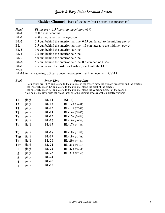### **Bladder Channel** – back of the body (most posterior compartment)

| <b>Head</b> | BL pts are $\sim$ 1.5 lateral to the midline (GV)                                |
|-------------|----------------------------------------------------------------------------------|
| $BL-1$      | at the inner canthus                                                             |
| $BL-2$      | at the medial end of the eyebrow                                                 |
| $BL-3$      | 0.5 cun behind the anterior hairline, 0.75 cun lateral to the midline (GV-24)    |
| $BL-4$      | $0.5$ cun behind the anterior hairline, 1.5 cun lateral to the midline $(GV-24)$ |
| $BL-5$      | 1.0 cun behind the anterior hairline                                             |
| $BL-6$      | 2.5 cun behind the anterior hairline                                             |
| $BL-7$      | 4.0 cun behind the anterior hairline                                             |
| $BL-8$      | 5.5 cun behind the anterior hairline, 0.5 cun behind GV-20                       |
| $BL-9$      | 2.5 cun above the posterior hairline, level with the EOP                         |
| <b>Neck</b> |                                                                                  |

**BL-10** in the trapezius, 0.5 cun above the posterior hairline, level with GV-15

*Back Inner Line Outer Line* - jia ji points are ~0.75 cun lateral to the midline, in the trough betw the spinous processes and the erectors - the inner BL line is 1.5 cun lateral to the midline, along the crest of the erectors

- the outer BL line is 3.0 cun lateral to the midline, along the vertebral border of the scapula

\* all points are level with the space inferior to the spinous process of the indicated vertebra

| T <sub>1</sub>  | jia ji | <b>BL-11</b> | $(SI-14)$               |
|-----------------|--------|--------------|-------------------------|
| T <sub>2</sub>  | jia ji | $BL-12$      | <b>BL-12a</b> $(36/41)$ |
| T3              | jia ji | <b>BL-13</b> | <b>BL-13a</b> $(37/42)$ |
| T <sub>4</sub>  | jia ji | <b>BL-14</b> | <b>BL-14a</b> (38/43)   |
| T <sub>5</sub>  | jia ji | <b>BL-15</b> | <b>BL-15a</b> $(39/44)$ |
| T <sub>6</sub>  | jia ji | $BL-16$      | <b>BL-16a</b> $(40/45)$ |
| $T_{7}$         | jia ji | <b>BL-17</b> | <b>BL-17a</b> $(41/46)$ |
|                 |        |              |                         |
| T <sub>9</sub>  | jia ji | <b>BL-18</b> | <b>BL-18a</b> $(42/47)$ |
| $T_{10}$        | jia ji | <b>BL-19</b> | <b>BL-19a</b> $(43/48)$ |
| $T_{11}$        | jia ji | <b>BL-20</b> | <b>BL-20a</b> (44/49)   |
| T <sub>12</sub> | jia ji | $BL-21$      | <b>BL-21a</b> $(45/50)$ |
| L <sub>1</sub>  | jia ji | $BL-22$      | <b>BL-22a</b> $(46/51)$ |
| L <sub>2</sub>  | jia ji | <b>BL-23</b> | <b>BL-23a</b> $(47/52)$ |
| $L_3$           | jia ji | $BL-24$      |                         |
| L <sub>4</sub>  | jia ji | <b>BL-25</b> |                         |
| L <sub>5</sub>  | jia ji | <b>BL-26</b> |                         |
|                 |        |              |                         |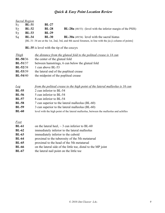|                | Sacral Region |              |                                                                                                       |
|----------------|---------------|--------------|-------------------------------------------------------------------------------------------------------|
| S <sub>1</sub> | <b>BL-31</b>  | $BL-27$      |                                                                                                       |
| S <sub>2</sub> | <b>BL-32</b>  | <b>BL-28</b> | <b>BL-28a</b> (48/53) (level with the inferior margin of the PSIS)                                    |
| $S_3$          | <b>BL-33</b>  | <b>BL-29</b> |                                                                                                       |
| S <sub>4</sub> | <b>BL-34</b>  | <b>BL-30</b> | $BL-30a$ (49/54) level with the sacral hiatus                                                         |
|                |               |              | [BL-31-34 are at the 1st, 2nd, 3rd, and 4th sacral foramen, in line with the jia ji column of points] |

**BL-35** is level with the tip of the coccyx

| <i>Thigh</i> | the distance from the gluteal fold to the politeal crease is 14 cun |
|--------------|---------------------------------------------------------------------|
| $BL-50/36$   | the center of the gluteal fold                                      |
| $BL-51/37$   | between hamstrings, 6 cun below the gluteal fold                    |
| $BL-52/38$   | 1 cun above BL-53                                                   |
| $BL-53/39$   | the lateral end of the popliteal crease                             |
| $BL-54/40$   | the midpoint of the popliteal crease                                |

| Leg          | from the politeal crease to the high point of the lateral malleolus is 16 cun          |
|--------------|----------------------------------------------------------------------------------------|
| <b>BL-55</b> | 2 cun inferior to BL-54                                                                |
| <b>BL-56</b> | 5 cun inferior to BL-54                                                                |
| <b>BL-57</b> | 8 cun inferior to BL-54                                                                |
| <b>BL-58</b> | 7 cun superior to the lateral malleolus (BL-60)                                        |
| <b>BL-59</b> | 3 cun superior to the lateral malleolus (BL-60)                                        |
| <b>BL-60</b> | level with the high point of the lateral malleolus, between the malleolus and achilles |

#### *Foot*

| <b>BL-61</b> | on the lateral heel, $\sim$ 3 cun inferior to BL-60 |  |  |  |   |  |  |  |
|--------------|-----------------------------------------------------|--|--|--|---|--|--|--|
| ----         |                                                     |  |  |  | . |  |  |  |

- **BL-62** immediately inferior to the lateral malleolus
- **BL-63** immediately inferior to the cuboid
- **BL-64** proximal to the tuberosity of the 5th metatarsal
- **BL-65** proximal to the head of the 5th metatarsal
- **BL-66** on the lateral side of the little toe, distal to the MP joint
- **BL-67** the lateral nail point on the little toe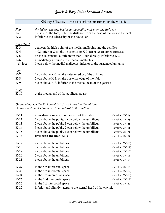|  | Kidney Channel – most posterior compartment on the yin-side |  |
|--|-------------------------------------------------------------|--|
|--|-------------------------------------------------------------|--|

| <b>Foot</b><br>$K-1$<br>$K-2$ | the kidney channel begins at the medial nail pt on the little toe<br>the sole of the foot, $\sim$ 1/3 the distance from the base of the toes to the heel<br>inferior to the tuberosity of the navicular |
|-------------------------------|---------------------------------------------------------------------------------------------------------------------------------------------------------------------------------------------------------|
| Ankle/Heel                    |                                                                                                                                                                                                         |
| $K-3$                         | between the high point of the medial malleolus and the achilles                                                                                                                                         |
| $K-4$                         | $\sim$ 0.5 inferior & slightly posterior to K-3, (jct of the achilles & calcaneum)                                                                                                                      |
| $K-5$                         | on the calcaneum, a little more than 1 cun directly inferior to K-3                                                                                                                                     |
| $K-6$                         | immediately inferior to the medial malleolus                                                                                                                                                            |
| alt loc:                      | 1 cun below the medial malleolus, inferior to the sustent aculum talus                                                                                                                                  |
| $Leg$                         |                                                                                                                                                                                                         |
| $K-7$                         | 2 cun above K-3, on the anterior edge of the achilles                                                                                                                                                   |
| $K-8$                         | 2 cun above K-3, on the posterior edge of the tibia                                                                                                                                                     |
| $K-9$                         | 5 cun above K-3, inferior to the medial head of the gastroc                                                                                                                                             |
| Knee                          |                                                                                                                                                                                                         |
| $K-10$                        | at the medial end of the popliteal crease                                                                                                                                                               |

*On the abdomen the K channel is 0.5 cun lateral to the midline On the chest the K channel is 2 cun lateral to the midline*

| $K-11$ | immediately superior to the crest of the pubis                    | (level $w/CV-2$ )  |
|--------|-------------------------------------------------------------------|--------------------|
| $K-12$ | 1 cun above the pubis, 4 cun below the umbilicus                  | (level $w/CV-3$ )  |
| $K-13$ | 2 cun above the pubis, 3 cun below the umbilicus                  | (level $w/CV-4$ )  |
| $K-14$ | 3 cun above the pubis, 2 cun below the umbilicus                  | (level $w/CV-5$ )  |
| $K-15$ | 4 cun above the pubis, 1 cun below the umbilicus                  | (level $w/CV-7$ )  |
| $K-16$ | level with the umbilicus                                          | (level $w/CV-8$ )  |
| $K-17$ | 2 cun above the umbilicus                                         | (level $w/CV-10$ ) |
| $K-18$ | 3 cun above the umbilicus                                         | $(level w/CV-11)$  |
| $K-19$ | 4 cun above the umbilicus                                         | $(level w/CV-12)$  |
| $K-20$ | 5 cun above the umbilicus                                         | $(level w/CV-13)$  |
| $K-21$ | 6 cun above the umbilicus                                         | (level $w/CV-14$ ) |
| $K-22$ | in the 5th intercostal space                                      | $(level w/CV-16)$  |
| $K-23$ | in the 4th intercostal space                                      | (level $w/CV-17$ ) |
| $K-24$ | in the 3rd intercostal space                                      | $(level w/CV-18)$  |
| $K-25$ | in the 2nd intercostal space                                      | (level $w/CV-19$ ) |
| $K-26$ | in the 1st intercostal space                                      | $(level w/CV-20)$  |
| $K-27$ | inferior and slightly lateral to the sternal head of the clavicle |                    |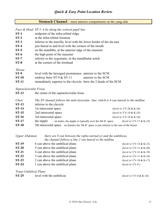|  | <b>Stomach Channel – most anterior compartment on the yang-side</b> |  |
|--|---------------------------------------------------------------------|--|
|--|---------------------------------------------------------------------|--|

|                                                         | Face $\&$ Head ST-1–4 lie along the vertical pupil line                                                                                                                          |                            |
|---------------------------------------------------------|----------------------------------------------------------------------------------------------------------------------------------------------------------------------------------|----------------------------|
| $ST-1$                                                  | midpoint of the infra-orbital ridge                                                                                                                                              |                            |
| $ST-2$                                                  | at the infra-orbital foramen                                                                                                                                                     |                            |
| $ST-3$                                                  | inferior to the maxilla, level with the lower border of the ala nasi                                                                                                             |                            |
| $ST-4$                                                  | just lateral to and level with the corners of the mouth                                                                                                                          |                            |
| $ST-5$                                                  | on the mandible, at the anterior edge of the masseter                                                                                                                            |                            |
| $ST-6$                                                  | the high point of the masseter                                                                                                                                                   |                            |
| $ST-7$                                                  | inferior to the zygomatic, in the mandibular notch                                                                                                                               |                            |
| $ST-8$                                                  | at the corners of the forehead                                                                                                                                                   |                            |
| <b>Throat</b><br>$ST-9$<br><b>ST-10</b><br><b>ST-11</b> | level with the laryngeal prominence anterior to the SCM<br>midway betw ST-9 $&$ ST-11<br>anterior to the SCM<br>immediately superior to the clavicle betw the 2 heads of the SCM |                            |
| Supraclavicular Fossa                                   |                                                                                                                                                                                  |                            |
| <b>ST-12</b>                                            | the center of the supraclavicular fossa                                                                                                                                          |                            |
| Chest<br><b>ST-13</b><br><b>ST-14</b>                   | The ST channel follows the mid-clavicular line, which is 4 cun lateral to the midline<br>inferior to the clavicle<br>1st intercostal space                                       | (level w/ $CV-20 & K-26$ ) |
| <b>ST-15</b>                                            | 2nd intercostal space                                                                                                                                                            | (level w/ CV-19 & K-25)    |
| <b>ST-16</b>                                            | 3rd intercostal space                                                                                                                                                            | (level w/ $CV-18 & K-24$ ) |
| <b>ST-17</b>                                            | the nipple<br>on males, the nipple is typically over the 4th IC space                                                                                                            | (level w/ CV-17 & K-23)    |
| <b>ST-18</b>                                            | 5th intercostal space on females the 5th IC space is just inferior to the root of the breast                                                                                     |                            |
|                                                         |                                                                                                                                                                                  |                            |

| Upper Abdomen | there are $\delta$ cun between the xipho-sternal jct and the umbilicus, |
|---------------|-------------------------------------------------------------------------|
|               | the channel follows a line 2 cun lateral to the midline                 |

| <b>ST-19</b> | 6 cun above the umbilical plane | (level w/ CV-14 & K-21) |
|--------------|---------------------------------|-------------------------|
| $ST-20$      | 5 cun above the umbilical plane | (level w/ CV-13 & K-20) |
| $ST-21$      | 4 cun above the umbilical plane | (level w/ CV-12 & K-19) |
| $ST-22$      | 3 cun above the umbilical plane | (level w/ CV-11 & K-18) |
| $ST-23$      | 2 cun above the umbilical plane | (level w/ CV-10 & K-17) |
| $ST-24$      | 1 cun above the umbilical plane | (level $w/CV-9$ )       |
|              |                                 |                         |

*Trans-Umbilical Plane*

| $ST-25$<br>level with the umbilicus | (level w/ CV-8 & K-16) |
|-------------------------------------|------------------------|
|-------------------------------------|------------------------|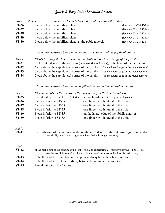| Lower Abdomen | there are 5 cun between the umbilicus and the pubis    |                           |
|---------------|--------------------------------------------------------|---------------------------|
| $ST-26$       | 1 cun below the umbilical plane                        | (level w/ CV-7 $&$ K-15)  |
| $ST-27$       | 2 cun below the umbilical plane                        | (level w/ CV-5 & K-14)    |
| <b>ST-28</b>  | 3 cun below the umbilical plane                        | (level w/ CV-4 $&$ K-13)  |
| <b>ST-29</b>  | 4 cun below the umbilical plane                        | (level w/ CV-3 & K-12)    |
| <b>ST-30</b>  | 5 cun below the umbilical plane, at the pubic tubercle | (level w/ $CV-2 & K-11$ ) |

#### *19 cun are measured between the greater trochanter and the popliteal crease*

| Thigh        | ST pts lie along the line connecting the ASIS and the lateral edge of the patella                  |                                             |
|--------------|----------------------------------------------------------------------------------------------------|---------------------------------------------|
| <b>ST-31</b> | on the lateral side of the sartorius (betw sartorius and rectus), $\sim$ the level of the perineum |                                             |
| $ST-32$      | 6 cun above the supralateral corner of the patella                                                 | (on the lateral edge of the rectus femoris) |
| $ST-33$      | 3 cun above the supralateral corner of the patella                                                 | (on the lateral edge of the rectus femoris) |
| $ST-34$      | 2 cun above the supralateral corner of the patella                                                 | (on the lateral edge of the rectus femoris) |

#### *16 cun are measured between the popliteal crease and the lateral malleolus*

| Leg          | ST channel pts on the leg are in the muscle body of the tibialis anterior                  |                                              |
|--------------|--------------------------------------------------------------------------------------------|----------------------------------------------|
| $ST-35$      | the lateral eye of the knee (inferior to the patella and lateral to the patellar ligament) |                                              |
| $ST-36$      | 3 cun inferior to ST-35                                                                    | one finger width lateral to the tibia        |
| <b>ST-37</b> | 6 cun inferior to ST-35                                                                    | one finger width lateral to the tibia        |
| <b>ST-38</b> | 8 cun inferior to ST-35                                                                    | one finger width lateral to the tibia        |
| $ST-40$      | 8 cun inferior to ST-35                                                                    | on the lateral edge of the tibialis anterior |
| <b>ST-39</b> | 9 cun inferior to ST-35                                                                    | one finger width lateral to the tibia        |
|              |                                                                                            |                                              |

# *Ankle*

the mid-point of the anterior ankle, on the medial side of the extensor digitorum tendon (specifically betw the ext digitorum  $\&$  ext hallucis longus tendons)

#### *Foot*

| $ST-42$ | at the high point of the dorsum of the foot (1st & 2nd cuneiforms), $\sim$ midway betw ST-41 & ST-43, |
|---------|-------------------------------------------------------------------------------------------------------|
|         | betw the ext digitorum $\&$ ext hallucis longus tendons, next to the dorsalis pedis artery            |
| $ST-43$ | betw the 2nd $\&$ 3rd metatarials, approx midway betw their heads $\&$ bases                          |
| $ST-44$ | betw the 2nd $\&$ 3rd toes, midway betw web margin $\&$ the knuckle                                   |
| $ST-45$ | lateral nail pt on the 2nd toe                                                                        |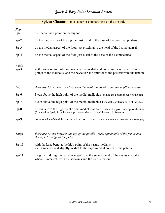| <b>Spleen Channel</b> – most anterior compartment on the yin-side |
|-------------------------------------------------------------------|
|-------------------------------------------------------------------|

| Foot<br>$Sp-1$  | the medial nail point on the big toe                                                                                                                                            |
|-----------------|---------------------------------------------------------------------------------------------------------------------------------------------------------------------------------|
| $Sp-2$          | on the medial side of the big toe, just distal to the base of the proximal phalanx                                                                                              |
| $Sp-3$          | on the medial aspect of the foot, just proximal to the head of the 1st metatarsal                                                                                               |
| $Sp-4$          | on the medial aspect of the foot, just distal to the base of the 1st metatarsal                                                                                                 |
| Ankle<br>$Sp-5$ | at the anterior and inferior corner of the medial malleolus, midway betw the high<br>points of the malleolus and the navicular and anterior to the posterior tibialis tendon    |
| Leg             | there are 15 cun measured between the medial malleolus and the popliteal crease                                                                                                 |
| $Sp-6$          | 3 cun above the high point of the medial malleolus behind the posterior edge of the tibia                                                                                       |
| $Sp-7$          | 6 cun above the high point of the medial malleolus behind the posterior edge of the tibia                                                                                       |
| $Sp-8$          | 10 cun above the high point of the medial malleolus behind the posterior edge of the tibia<br>(3 cun below Sp-9, 5 cun below popl. crease which is 1/3 of the overall distance) |
| $Sp-9$          | posterior edge of the tibia, 2 cun below popl. crease (in the middle of the curvature of the condyle)                                                                           |
|                 |                                                                                                                                                                                 |
| Thigh           | there are 18 cun between the top of the patella / med. epicondyle of the femur and<br>the superior edge of the pubis                                                            |
| $Sp-10$         | with the knee bent, at the high point of the vastus medialis<br>2 cun superior and slightly medial to the supra-medial corner of the patella                                    |
| $Sp-11$         | roughly mid thigh, 6 cun above Sp-10, at the superior end of the vastus medialis<br>where it intersects with the sartorius and the rectus femoris                               |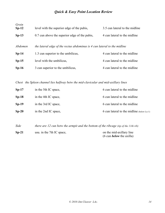| Groin<br>$Sp-12$ | level with the superior edge of the pubis,                               | 3.5 cun lateral to the midline |
|------------------|--------------------------------------------------------------------------|--------------------------------|
| $Sp-13$          | 0.7 cun above the superior edge of the pubis,                            | 4 cun lateral to the midline   |
| Abdomen          | the lateral edge of the rectus abdominus is 4 cun lateral to the midline |                                |
| $Sp-14$          | 1.3 cun superior to the umbilicus,                                       | 4 cun lateral to the midline   |
| $Sp-15$          | level with the umbilicus,                                                | 4 cun lateral to the midline   |
| $Sp-16$          | 3 cun superior to the umbilicus,                                         | 4 cun lateral to the midline   |

*Chest the Spleen channel lies halfway betw the mid-clavicular and mid-axillary lines*

| $Sp-17$ | in the 5th IC space, | 6 cun lateral to the midline              |
|---------|----------------------|-------------------------------------------|
| $Sp-18$ | in the 4th IC space, | 6 cun lateral to the midline              |
| $Sp-19$ | in the 3rd IC space, | 6 cun lateral to the midline              |
| $Sp-20$ | in the 2nd IC space, | 6 cun lateral to the midline (below Lu-1) |

*Side there are 12 cun betw the armpit and the bottom of the ribcage (tip of the 11th rib)*

| $Sp-21$ | usu. in the 7th IC space, | on the mid-axillary line           |
|---------|---------------------------|------------------------------------|
|         |                           | $(6 \text{ cun}$ below the axilla) |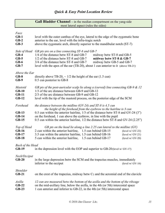|                                                      | Gall Bladder Channel – in the median compartment on the yang-side                                                                                                                                                                                                                                                                                                                      |  |
|------------------------------------------------------|----------------------------------------------------------------------------------------------------------------------------------------------------------------------------------------------------------------------------------------------------------------------------------------------------------------------------------------------------------------------------------------|--|
|                                                      | most lateral aspect (rules the sides)                                                                                                                                                                                                                                                                                                                                                  |  |
| Face<br>$GB-1$<br>$GB-2$<br>$GB-3$                   | level with the outer canthus of the eye, lateral to the edge of the zygomatic bone<br>anterior to the ear, level with the infra-tragic notch<br>above the zygomatic arch, directly superior to the mandibular notch (ST-7)                                                                                                                                                             |  |
| Side of Head<br>$GB-4$<br>$GB-5$<br>$GB-6$<br>$GB-7$ | GB pts are on a line connecting ST-8 and GB-7<br>1/4 of the distance betw ST-8 and GB-7<br>midway betw ST-8 and GB-5<br>1/2 of the distance betw ST-8 and GB-7<br>midway betw ST-8 & GB-7<br>3/4 of the distance betw ST-8 and GB-7<br>midway betw GB-5 and GB-7<br>level with the apex of the ear (TB-20), about 1 cun anterior to it (above TB-21)                                   |  |
| Above the Ear<br>$GB-8$<br>$GB-9$                    | directly above TB-20, $\sim$ 1/2 the height of the ear (1.5 cun)<br>0.5 cun posterior to GB-8                                                                                                                                                                                                                                                                                          |  |
| Mastoid<br>$GB-10$<br>$GB-11$<br>$GB-12$             | GB pts of the post-auricular scalp lie along a (curved) line connecting GB-9 $\&$ 12<br>1/3 of the arc distance between GB-9 and GB-12<br>2/3 of the arc distance between GB-9 and GB-12<br>level with the tip of the mastoid process, on the posterior edge of the SCM                                                                                                                |  |
| Forehead<br>$GB-13$<br>$GB-14$<br>$GB-15$            | the distance between the midline (GV-24) and ST-8 is 4.5 cun<br>the height of the forehead from the eyebrow to the hairline is 3 cun<br>0.5 cun within the anterior hairline, $1/3$ of the distance betw ST-8 and GV-24 (3")<br>on the forehead, 1 cun above the eyebrow, in line with the pupil<br>0.5 cun within the anterior hairline, 1/2 the distance betw ST-8 and GV-24 (2.25") |  |
| Top of Head<br>$GB-16$<br>$GB-17$<br><b>GB-18</b>    | GB pts on the head lie along a line 2.25 cun lateral to the midline $(GV)$<br>2 cun within the anterior hairline, 1.5 cun behind GB-15<br>(level $w/GV-22$ )<br>3.5 cun within the anterior hairline, 1.5 cun behind GB-16<br>$(level w/GV-21)$<br>5 cun within the anterior hairline, 1.5 cun behind GB-17<br>(level $w/GV-20$ )                                                      |  |
| <b>Back of the Head</b><br>$GB-19$                   | in the depression level with the EOP and superior to GB-20 (level $w / GV-17$ )                                                                                                                                                                                                                                                                                                        |  |
| Neck/Occiput<br>$GB-20$                              | in the large depression betw the SCM and the trapezius muscles, immediately<br>inferior to the occiput<br>(level $w/GV-16$ )                                                                                                                                                                                                                                                           |  |
| Shoulder<br>$GB-21$                                  | on the crest of the trapezius, midway betw $C_7$ and the acromial end of the clavicle                                                                                                                                                                                                                                                                                                  |  |
| Axilla<br>$GB-22$<br>$GB-23$                         | 12 cun are measured betw the bottom of the axilla and the bottom of the ribcage<br>on the mid-axillary line, below the axilla, in the 4th (or 5th) intercostal space<br>1 cun anterior and inferior to GB-22, in the 4th (or 5th) intercostal space                                                                                                                                    |  |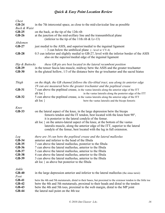| Chest          |                                                                                                                                                        |
|----------------|--------------------------------------------------------------------------------------------------------------------------------------------------------|
| $GB-24$        | in the 7th intercostal space, as close to the mid-clavicular line as possible                                                                          |
| Back & Waist   |                                                                                                                                                        |
| $GB-25$        | on the back, at the tip of the 12th rib                                                                                                                |
| $GB-26$        | at the junction of the mid-axillary line and the transumbilical plane<br>(inferior to the tip of the 11th rib $< Lr-13$ )                              |
| Abdomen        |                                                                                                                                                        |
| $GB-27$        | just medial to the ASIS, and superior/medial to the inguinal ligament                                                                                  |
|                | $\sim$ 3 cun below the umbilical plane ( $\sim$ level w/ CV-4)                                                                                         |
| $GB-28$        | 0.5 cun inferior and slightly medial to GB-27, level with the inferior border of the ASIS<br>also on the superior/medial edge of the inguinal ligament |
| Hip & Buttocks | these GB pts are best located in the lateral recumbent position                                                                                        |
| GB-29          | in the tensor fascia lata muscle, midway betw the ASIS and the greater trochanter                                                                      |
| $GB-30$        | in the gluteal hollow, 1/3 of the distance betw the gr trochanter and the sacral hiatus                                                                |
|                |                                                                                                                                                        |
| Thigh          | on the thigh, the GB channel follows the ilio-tibial tract, usu along its anterior edge                                                                |
|                | 19 cun are measured betw the greater trochanter and the popliteal crease                                                                               |
| <b>GB-31</b>   | 7 cun above the popliteal crease, in the vastus lateralis along the anterior edge of the ITT                                                           |
|                | alt loc $\}$<br>in the vastus lateralis along the posterior edge of the ITT                                                                            |
| $GB-32$        | 5 cun above the popliteal crease, in the vastus lateralis along the anterior edge of the ITT                                                           |
|                | alt loc $\}$<br>betw the vastus lateralis and the biceps femoris                                                                                       |
|                |                                                                                                                                                        |
| Knee           |                                                                                                                                                        |
| <b>GB-33</b>   | on the lateral aspect of the knee, in the large depression betw the biceps                                                                             |
|                | femoris tendon and the IT tendon, best located with the knee bent 90°,                                                                                 |
|                | it is posterior to the lateral condyle of the femur.                                                                                                   |
|                | alt loc } on the antero-lateral aspect of the knee, at the bottom of the vastus                                                                        |
|                | lateralis muscle, along the anterior edge of the ITT, superior to the lateral                                                                          |
|                | condyle of the femur, best located with the leg in full extension.                                                                                     |
|                |                                                                                                                                                        |
| Leg            | there are 16 cun betw the popliteal crease and the lateral malleolus                                                                                   |
| $GB-34$        | anterior and inferior to the head of the fibula                                                                                                        |
| $GB-35$        | 7 cun above the lateral malleolus, posterior to the fibula                                                                                             |
| <b>GB-36</b>   | 7 cun above the lateral malleolus, anterior to the fibula                                                                                              |
| GB-37          | 5 cun above the lateral malleolus, anterior to the fibula                                                                                              |
| <b>GB-38</b>   | 4 cun above the lateral malleolus, anterior to the fibula                                                                                              |
| GB-39          | 3 cun above the lateral malleolus, anterior to the fibula                                                                                              |
|                | alt loc } as above but posterior to the fibula                                                                                                         |
| Ankle          |                                                                                                                                                        |
| $GB-40$        | in the large depression anterior and inferior to the lateral malleolus (the sinus tarsii)                                                              |
| Foot           |                                                                                                                                                        |
| $GB-41$        | betw the 4th and 5th metatarsals, distal to their bases, but proximal to the extensor tendon to the little toe                                         |
| $GB-42$        | betw the 4th and 5th metatarsals, proximal to their heads and distal to the tendon                                                                     |
| <b>GB-43</b>   | betw the 4th and 5th toes, proximal to the web margin, distal to the MP joint                                                                          |
| $GB-44$        | the lateral nail point on the 4th toe                                                                                                                  |
|                |                                                                                                                                                        |